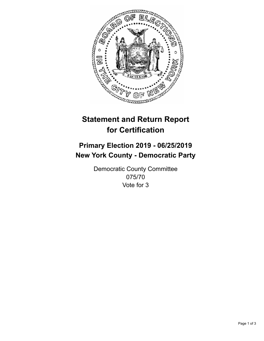

## **Statement and Return Report for Certification**

## **Primary Election 2019 - 06/25/2019 New York County - Democratic Party**

Democratic County Committee 075/70 Vote for 3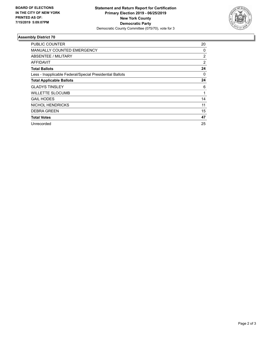

## **Assembly District 70**

| PUBLIC COUNTER                                           | 20             |
|----------------------------------------------------------|----------------|
| <b>MANUALLY COUNTED EMERGENCY</b>                        | 0              |
| <b>ABSENTEE / MILITARY</b>                               | $\overline{2}$ |
| AFFIDAVIT                                                | 2              |
| <b>Total Ballots</b>                                     | 24             |
| Less - Inapplicable Federal/Special Presidential Ballots | 0              |
| <b>Total Applicable Ballots</b>                          | 24             |
| <b>GLADYS TINSLEY</b>                                    | 6              |
| <b>WILLETTE SLOCUMB</b>                                  | 1              |
| <b>GAIL HODES</b>                                        | 14             |
| <b>NICHOL HENDRICKS</b>                                  | 11             |
| <b>DEBRA GREEN</b>                                       | 15             |
| <b>Total Votes</b>                                       | 47             |
| Unrecorded                                               | 25             |